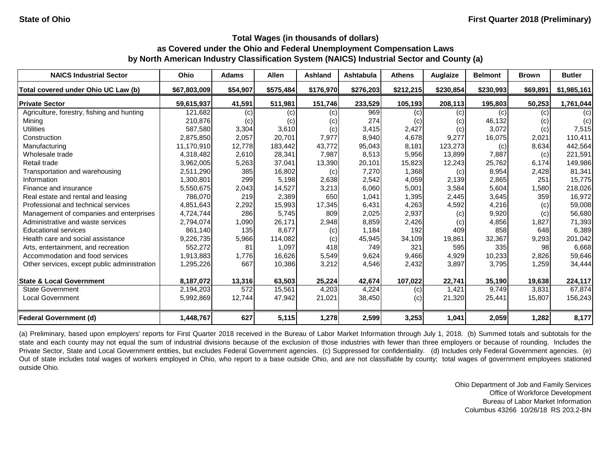| <b>NAICS Industrial Sector</b>               | <b>Ohio</b>  | <b>Adams</b>     | <b>Allen</b> | <b>Ashland</b> | <b>Ashtabula</b> | <b>Athens</b> | Auglaize  | <b>Belmont</b> | <b>Brown</b>       | <b>Butler</b> |
|----------------------------------------------|--------------|------------------|--------------|----------------|------------------|---------------|-----------|----------------|--------------------|---------------|
| Total covered under Ohio UC Law (b)          | \$67,803,009 | \$54,907         | \$575,484    | \$176,970      | \$276,203        | \$212,215     | \$230,854 | \$230,993      | \$69,891           | \$1,985,161   |
| <b>Private Sector</b>                        | 59,615,937   | 41,591           | 511,981      | 151,746        | 233,529          | 105,193       | 208,113   | 195,803        | 50,253             | 1,761,044     |
| Agriculture, forestry, fishing and hunting   | 121,682      | (c)              | (c)          | (c)            | 969              | (c)           | (c)       | (c)            | (c)                | (c)           |
| Mining                                       | 210,876      | (c)              | (c)          | (c)            | 274              | (c)           | (c)       | 46,132         | (c)                | (c)           |
| <b>Utilities</b>                             | 587,580      | 3,304            | 3,610        | (c)            | 3,415            | 2,427         | (c)       | 3,072          | (c)                | 7,515         |
| Construction                                 | 2,875,850    | 2,057            | 20,701       | 7,977          | 8,940            | 4,678         | 9,277     | 16,075         | 2,021              | 110,411       |
| Manufacturing                                | 11,170,910   | 12,778           | 183,442      | 43,772         | 95,043           | 8,181         | 123,273   | (c)            | 8,634              | 442,564       |
| Wholesale trade                              | 4,318,482    | 2,610            | 28,341       | 7,987          | 8,513            | 5,956         | 13,899    | 7,887          | (c)                | 221,591       |
| Retail trade                                 | 3,962,005    | 5,263            | 37,041       | 13,390         | 20,101           | 15,823        | 12,243    | 25,762         | 6,174              | 149,986       |
| Transportation and warehousing               | 2,511,290    | 385              | 16,802       | (c)            | 7,270            | 1,368         | (c)       | 8,954          | 2,428              | 81,341        |
| Information                                  | 1,300,801    | 299              | 5,198        | 2,638          | 2,542            | 4,059         | 2,139     | 2,865          | 251                | 15,775        |
| Finance and insurance                        | 5,550,675    | 2,043            | 14,527       | 3,213          | 6,060            | 5,001         | 3,584     | 5,604          | 1,580              | 218,026       |
| Real estate and rental and leasing           | 786,070      | 219              | 2,389        | 650            | 1,041            | 1,395         | 2,445     | 3,645          | 359                | 16,972        |
| Professional and technical services          | 4,851,643    | 2,292            | 15,993       | 17,345         | 6,431            | 4,263         | 4,592     | 4,216          | (c)                | 59,008        |
| Management of companies and enterprises      | 4,724,744    | 286              | 5,745        | 809            | 2,025            | 2,937         | (c)       | 9,920          | (c)                | 56,680        |
| Administrative and waste services            | 2,794,074    | 1,090            | 26,171       | 2,948          | 8,859            | 2,426         | (c)       | 4,856          | 1,827              | 71,393        |
| <b>Educational services</b>                  | 861,140      | 135              | 8,677        | (c)            | 1,184            | 192           | 409       | 858            | 648                | 6,389         |
| Health care and social assistance            | 9,226,735    | 5,966            | 114,082      | (c)            | 45,945           | 34,109        | 19,861    | 32,367         | 9,293              | 201,042       |
| Arts, entertainment, and recreation          | 552,272      | 81               | 1,097        | 418            | 749              | 321           | 595       | 335            | 98                 | 6,668         |
| Accommodation and food services              | 1,913,883    | 1,776            | 16,626       | 5,549          | 9,624            | 9,466         | 4,929     | 10,233         | 2,826              | 59,646        |
| Other services, except public administration | 1,295,226    | 667              | 10,386       | 3,212          | 4,546            | 2,432         | 3,897     | 3,795          | 1,259              | 34,444        |
| <b>State &amp; Local Government</b>          | 8,187,072    | 13,316           | 63,503       | 25,224         | 42,674           | 107,022       | 22,741    | 35,190         | 19,638             | 224,117       |
| State Government                             | 2,194,203    | $\overline{572}$ | 15,561       | 4,203          | 4,224            | (c)           | 1,421     | 9,749          | $\overline{3,831}$ | 67,874        |
| <b>Local Government</b>                      | 5,992,869    | 12,744           | 47,942       | 21,021         | 38,450           | (c)           | 21,320    | 25,441         | 15,807             | 156,243       |
| <b>Federal Government (d)</b>                | 1,448,767    | 627              | 5,115        | 1,278          | 2,599            | 3,253         | 1,041     | 2,059          | 1,282              | 8,177         |

(a) Preliminary, based upon employers' reports for First Quarter 2018 received in the Bureau of Labor Market Information through July 1, 2018. (b) Summed totals and subtotals for the state and each county may not equal the sum of industrial divisions because of the exclusion of those industries with fewer than three employers or because of rounding. Includes the Private Sector, State and Local Government entities, but excludes Federal Government agencies. (c) Suppressed for confidentiality. (d) Includes only Federal Government agencies. (e) Out of state includes total wages of workers employed in Ohio, who report to a base outside Ohio, and are not classifiable by county; total wages of government employees stationed outside Ohio.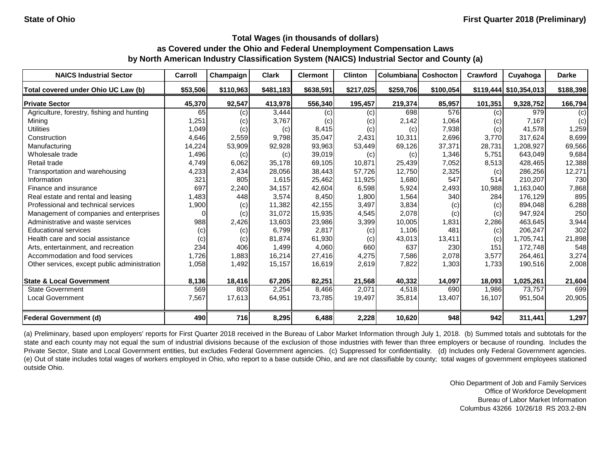| <b>NAICS Industrial Sector</b>               | Carroll  | Champaign | <b>Clark</b> | <b>Clermont</b> | <b>Clinton</b> | Columbiana | <b>Coshocton</b> | Crawford | Cuyahoga                 | <b>Darke</b> |
|----------------------------------------------|----------|-----------|--------------|-----------------|----------------|------------|------------------|----------|--------------------------|--------------|
| Total covered under Ohio UC Law (b)          | \$53,506 | \$110,963 | \$481,183    | \$638,591       | \$217,025      | \$259,706  | \$100,054        |          | $$119,444$ $$10,354,013$ | \$188,398    |
| <b>Private Sector</b>                        | 45,370   | 92,547    | 413,978      | 556,340         | 195,457        | 219,374    | 85,957           | 101,351  | 9,328,752                | 166,794      |
| Agriculture, forestry, fishing and hunting   | 65       | (c)       | 3,444        | (c)             | (c)            | 698        | 576              | (c)      | 979                      | (c)          |
| Minina                                       | 1,251    | (c)       | 3,767        | (c)             | (c)            | 2,142      | 1,064            | (c)      | 7,167                    | (c)          |
| <b>Utilities</b>                             | 1,049    | (c)       | (c)          | 8,415           | (c)            | (c)        | 7,938            | (c)      | 41,578                   | 1,259        |
| Construction                                 | 4,646    | 2,559     | 9,798        | 35,047          | 2,431          | 10,311     | 2,696            | 3,770    | 317,624                  | 8,699        |
| Manufacturing                                | 14,224   | 53,909    | 92,928       | 93,963          | 53,449         | 69,126     | 37,371           | 28,731   | 1,208,927                | 69,566       |
| Wholesale trade                              | 1,496    | (c)       | (c)          | 39,019          | (c)            | (c)        | 1,346            | 5,751    | 643,049                  | 9,684        |
| Retail trade                                 | 4,749    | 6,062     | 35,178       | 69,105          | 10,871         | 25,439     | 7,052            | 8,513    | 428,465                  | 12,388       |
| Transportation and warehousing               | 4,233    | 2,434     | 28,056       | 38,443          | 57,726         | 12,750     | 2,325            | (c)      | 286,256                  | 12,271       |
| Information                                  | 321      | 805       | 1,615        | 25,462          | 11,925         | 1,680      | 547              | 514      | 210,207                  | 730          |
| Finance and insurance                        | 697      | 2,240     | 34,157       | 42,604          | 6,598          | 5,924      | 2,493            | 10,988   | 1,163,040                | 7,868        |
| Real estate and rental and leasing           | 1,483    | 448       | 3,574        | 8,450           | 1,800          | 1,564      | 340              | 284      | 176,129                  | 895          |
| Professional and technical services          | 1,900    | (c)       | 11,382       | 42,155          | 3,497          | 3,834      | (c)              | (c)      | 894,048                  | 6,288        |
| Management of companies and enterprises      | 0        | (c)       | 31,072       | 15,935          | 4,545          | 2,078      | (c)              | (c)      | 947,924                  | 250          |
| Administrative and waste services            | 988      | 2,426     | 13,603       | 23,986          | 3,399          | 10,005     | 1,831            | 2,286    | 463,645                  | 3,944        |
| <b>Educational services</b>                  | (c)      | (c)       | 6,799        | 2,817           | (c)            | 1,106      | 481              | (c)      | 206,247                  | 302          |
| Health care and social assistance            | (c)      | (c)       | 81,874       | 61,930          | (c)            | 43,013     | 13,411           | (c)      | 1,705,741                | 21,898       |
| Arts, entertainment, and recreation          | 234      | 406       | 1,499        | 4,060           | 660            | 637        | 230              | 151      | 172,748                  | 548          |
| Accommodation and food services              | 1,726    | 1,883     | 16,214       | 27,416          | 4,275          | 7,586      | 2,078            | 3,577    | 264,461                  | 3,274        |
| Other services, except public administration | 1,058    | 1,492     | 15,157       | 16,619          | 2,619          | 7,822      | 1,303            | 1,733    | 190,516                  | 2,008        |
| <b>State &amp; Local Government</b>          | 8,136    | 18,416    | 67,205       | 82,251          | 21,568         | 40,332     | 14,097           | 18,093   | 1,025,261                | 21,604       |
| <b>State Government</b>                      | 569      | 803       | 2,254        | 8,466           | 2,071          | 4,518      | 690              | 1,986    | 73,757                   | 699          |
| <b>Local Government</b>                      | 7,567    | 17,613    | 64,951       | 73,785          | 19,497         | 35,814     | 13,407           | 16,107   | 951,504                  | 20,905       |
| <b>Federal Government (d)</b>                | 490      | 716       | 8,295        | 6,488           | 2,228          | 10,620     | 948              | 942      | 311,441                  | 1,297        |

(a) Preliminary, based upon employers' reports for First Quarter 2018 received in the Bureau of Labor Market Information through July 1, 2018. (b) Summed totals and subtotals for the state and each county may not equal the sum of industrial divisions because of the exclusion of those industries with fewer than three employers or because of rounding. Includes the Private Sector, State and Local Government entities, but excludes Federal Government agencies. (c) Suppressed for confidentiality. (d) Includes only Federal Government agencies. (e) Out of state includes total wages of workers employed in Ohio, who report to a base outside Ohio, and are not classifiable by county; total wages of government employees stationed outside Ohio.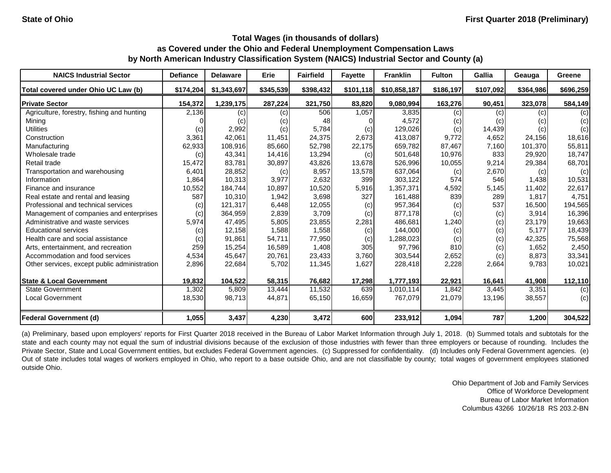| <b>NAICS Industrial Sector</b>               | <b>Defiance</b> | <b>Delaware</b> | Erie      | <b>Fairfield</b> | <b>Fayette</b> | <b>Franklin</b> | <b>Fulton</b> | Gallia    | Geauga    | Greene    |
|----------------------------------------------|-----------------|-----------------|-----------|------------------|----------------|-----------------|---------------|-----------|-----------|-----------|
| Total covered under Ohio UC Law (b)          | \$174,204       | \$1,343,697     | \$345,539 | \$398,432        | \$101,118      | \$10,858,187    | \$186,197     | \$107,092 | \$364,986 | \$696,259 |
| <b>Private Sector</b>                        | 154,372         | 1,239,175       | 287,224   | 321,750          | 83,820         | 9,080,994       | 163,276       | 90,451    | 323,078   | 584,149   |
| Agriculture, forestry, fishing and hunting   | 2,136           | (c)             | (c)       | 506              | 1,057          | 3,835           | (c)           | (c)       | (c)       | (c)       |
| Mining                                       |                 | (c)             | (c)       | 48               |                | 4,572           | (c)           | (c)       | (C)       | (c)       |
| <b>Utilities</b>                             | (c)             | 2,992           | (c)       | 5,784            | (c)            | 129,026         | (c)           | 14,439    | (c)       | (c)       |
| Construction                                 | 3,361           | 42,061          | 11,451    | 24,375           | 2,673          | 413,087         | 9,772         | 4,652     | 24,156    | 18,616    |
| Manufacturing                                | 62,933          | 108,916         | 85,660    | 52,798           | 22,175         | 659,782         | 87,467        | 7,160     | 101,370   | 55,811    |
| Wholesale trade                              | (c)             | 43,341          | 14,416    | 13,294           | (c)            | 501,648         | 10,976        | 833       | 29,920    | 18,747    |
| Retail trade                                 | 15,472          | 83,781          | 30,897    | 43,826           | 13,678         | 526,996         | 10,055        | 9,214     | 29,384    | 68,701    |
| Transportation and warehousing               | 6,401           | 28,852          | (c)       | 8,957            | 13,578         | 637,064         | (c)           | 2,670     | (c)       | (c)       |
| Information                                  | 1,864           | 10,313          | 3,977     | 2,632            | 399            | 303,122         | 574           | 546       | 1,438     | 10,531    |
| Finance and insurance                        | 10,552          | 184,744         | 10,897    | 10,520           | 5,916          | 1,357,371       | 4,592         | 5,145     | 11,402    | 22,617    |
| Real estate and rental and leasing           | 587             | 10,310          | 1,942     | 3,698            | 327            | 161,488         | 839           | 289       | 1,817     | 4,751     |
| Professional and technical services          | (c)             | 121,317         | 6,448     | 12,055           | (c)            | 957,364         | (c)           | 537       | 16,500    | 194,565   |
| Management of companies and enterprises      | (c)             | 364,959         | 2,839     | 3,709            | (c)            | 877,178         | (c)           | (c)       | 3,914     | 16,396    |
| Administrative and waste services            | 5,974           | 47,495          | 5,805     | 23,855           | 2,281          | 486,681         | 1,240         | (c)       | 23,179    | 19,663    |
| <b>Educational services</b>                  | (c)             | 12,158          | 1,588     | 1,558            | (c)            | 144,000         | (c)           | (c)       | 5,177     | 18,439    |
| Health care and social assistance            | (c)             | 91,861          | 54,711    | 77,950           | (c)            | 1,288,023       | (c)           | (c)       | 42,325    | 75,568    |
| Arts, entertainment, and recreation          | 259             | 15,254          | 16,589    | 1,408            | 305            | 97,796          | 810           | (c)       | 1,652     | 2,450     |
| Accommodation and food services              | 4,534           | 45,647          | 20,761    | 23,433           | 3,760          | 303,544         | 2,652         | (c)       | 8,873     | 33,341    |
| Other services, except public administration | 2,896           | 22,684          | 5,702     | 11,345           | 1,627          | 228,418         | 2,228         | 2,664     | 9,783     | 10,021    |
| <b>State &amp; Local Government</b>          | 19,832          | 104,522         | 58,315    | 76,682           | 17,298         | 1,777,193       | 22,921        | 16,641    | 41,908    | 112,110   |
| State Government                             | 1,302           | 5,809           | 13,444    | 11,532           | 639            | 1,010,114       | 1,842         | 3,445     | 3,351     | (c)       |
| <b>Local Government</b>                      | 18,530          | 98,713          | 44,871    | 65,150           | 16,659         | 767,079         | 21,079        | 13,196    | 38,557    | (c)       |
| <b>Federal Government (d)</b>                | 1,055           | 3,437           | 4,230     | 3,472            | 600            | 233,912         | 1,094         | 787       | 1,200     | 304,522   |

(a) Preliminary, based upon employers' reports for First Quarter 2018 received in the Bureau of Labor Market Information through July 1, 2018. (b) Summed totals and subtotals for the state and each county may not equal the sum of industrial divisions because of the exclusion of those industries with fewer than three employers or because of rounding. Includes the Private Sector, State and Local Government entities, but excludes Federal Government agencies. (c) Suppressed for confidentiality. (d) Includes only Federal Government agencies. (e) Out of state includes total wages of workers employed in Ohio, who report to a base outside Ohio, and are not classifiable by county; total wages of government employees stationed outside Ohio.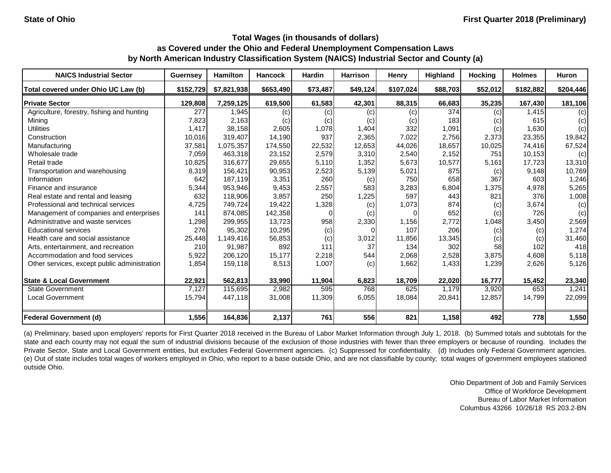| <b>NAICS Industrial Sector</b>               | <b>Guernsey</b> | <b>Hamilton</b> | <b>Hancock</b> | <b>Hardin</b> | <b>Harrison</b> | <b>Henry</b> | Highland | <b>Hocking</b> | <b>Holmes</b> | <b>Huron</b> |
|----------------------------------------------|-----------------|-----------------|----------------|---------------|-----------------|--------------|----------|----------------|---------------|--------------|
| Total covered under Ohio UC Law (b)          | \$152,729       | \$7,821,938     | \$653,490      | \$73,487      | \$49,124        | \$107,024    | \$88,703 | \$52,012       | \$182,882     | \$204,446    |
| <b>Private Sector</b>                        | 129,808         | 7,259,125       | 619,500        | 61,583        | 42,301          | 88,315       | 66,683   | 35,235         | 167,430       | 181,106      |
| Agriculture, forestry, fishing and hunting   | 277             | 1,945           | (c)            | (c)           | (c)             | (c)          | 374      | (c)            | 1,415         | (c)          |
| Mining                                       | 7,823           | 2,163           | (c)            | (c)           | (c)             | (C)          | 183      | (c)            | 615           | (c)          |
| <b>Utilities</b>                             | 1,417           | 38,158          | 2,605          | 1,078         | 1,404           | 332          | 1,091    | (c)            | 1,630         | (c)          |
| Construction                                 | 10,016          | 319,407         | 14,190         | 937           | 2,365           | 7,022        | 2,756    | 2,373          | 23,355        | 19,842       |
| Manufacturing                                | 37,581          | 1,075,357       | 174,550        | 22,532        | 12,653          | 44,026       | 18,657   | 10,025         | 74,416        | 67,524       |
| Wholesale trade                              | 7,059           | 463,318         | 23,152         | 2,579         | 3,310           | 2,540        | 2,152    | 751            | 10,153        | (c)          |
| Retail trade                                 | 10,825          | 316,677         | 29,655         | 5,110         | 1,352           | 5,673        | 10,577   | 5,161          | 17,723        | 13,310       |
| Transportation and warehousing               | 8,319           | 156,421         | 90,953         | 2,523         | 5,139           | 5,021        | 875      | (c)            | 9,148         | 10,769       |
| Information                                  | 642             | 187,119         | 3,351          | 260           | (c)             | 750          | 658      | 367            | 603           | 1,246        |
| Finance and insurance                        | 5,344           | 953,946         | 9,453          | 2,557         | 583             | 3,283        | 6,804    | 1,375          | 4,978         | 5,265        |
| Real estate and rental and leasing           | 632             | 118,906         | 3,857          | 250           | 1,225           | 597          | 443      | 821            | 376           | 1,008        |
| Professional and technical services          | 4,725           | 749,724         | 19,422         | 1,328         | (c)             | 1,073        | 874      | (c)            | 3,674         | (c)          |
| Management of companies and enterprises      | 141             | 874,085         | 142,358        |               | (c)             |              | 652      | (c)            | 726           | (c)          |
| Administrative and waste services            | 1,298           | 299,955         | 13,723         | 958           | 2,330           | 1,156        | 2,772    | 1,048          | 3,450         | 2,569        |
| <b>Educational services</b>                  | 276             | 95,302          | 10,295         | (c)           |                 | 107          | 206      | (c)            | (c)           | 1,274        |
| Health care and social assistance            | 25,448          | 1,149,416       | 56,853         | (c)           | 3,012           | 11,856       | 13,345   | (c)            | (c)           | 31,460       |
| Arts, entertainment, and recreation          | 210             | 91,987          | 892            | 111           | 37              | 134          | 302      | 58             | 102           | 418          |
| Accommodation and food services              | 5,922           | 206,120         | 15,177         | 2,218         | 544             | 2,068        | 2,528    | 3,875          | 4,608         | 5,118        |
| Other services, except public administration | 1,854           | 159,118         | 8,513          | 1,007         | (c)             | 1,662        | 1,433    | 1,239          | 2,626         | 5,126        |
| <b>State &amp; Local Government</b>          | 22,921          | 562,813         | 33,990         | 11,904        | 6,823           | 18,709       | 22,020   | 16,777         | 15,452        | 23,340       |
| <b>State Government</b>                      | 7,127           | 115,695         | 2,982          | 595           | 768             | 625          | 1,179    | 3,920          | 653           | 1,241        |
| <b>Local Government</b>                      | 15,794          | 447,118         | 31,008         | 11,309        | 6,055           | 18,084       | 20,841   | 12,857         | 14,799        | 22,099       |
| <b>Federal Government (d)</b>                | 1,556           | 164,836         | 2,137          | 761           | 556             | 821          | 1,158    | 492            | 778           | 1,550        |

(a) Preliminary, based upon employers' reports for First Quarter 2018 received in the Bureau of Labor Market Information through July 1, 2018. (b) Summed totals and subtotals for the state and each county may not equal the sum of industrial divisions because of the exclusion of those industries with fewer than three employers or because of rounding. Includes the Private Sector, State and Local Government entities, but excludes Federal Government agencies. (c) Suppressed for confidentiality. (d) Includes only Federal Government agencies. (e) Out of state includes total wages of workers employed in Ohio, who report to a base outside Ohio, and are not classifiable by county; total wages of government employees stationed outside Ohio.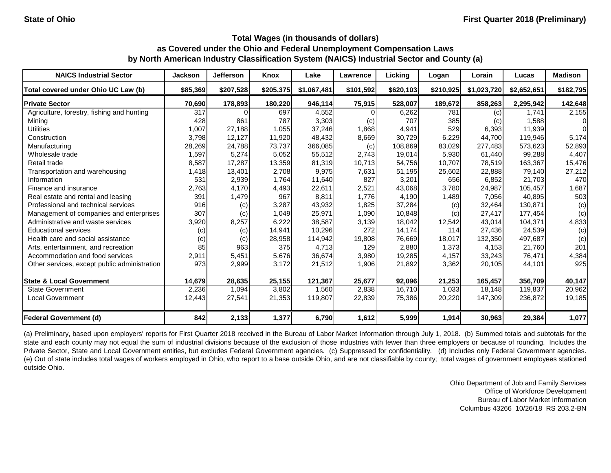| <b>NAICS Industrial Sector</b>               | <b>Jackson</b> | <b>Jefferson</b> | Knox      | Lake        | Lawrence  | Licking   | Logan     | Lorain      | Lucas       | <b>Madison</b> |
|----------------------------------------------|----------------|------------------|-----------|-------------|-----------|-----------|-----------|-------------|-------------|----------------|
| Total covered under Ohio UC Law (b)          | \$85,369       | \$207,528        | \$205,375 | \$1,067,481 | \$101,592 | \$620,103 | \$210,925 | \$1,023,720 | \$2,652,651 | \$182,795      |
| <b>Private Sector</b>                        | 70,690         | 178,893          | 180,220   | 946,114     | 75,915    | 528,007   | 189,672   | 858,263     | 2,295,942   | 142,648        |
| Agriculture, forestry, fishing and hunting   | 317            |                  | 697       | 4,552       |           | 6,262     | 781       | (c)         | 1,741       | 2,155          |
| Mining                                       | 428            | 861              | 787       | 3,303       | (c)       | 707       | 385       | (c)         | 1,588       | 01             |
| <b>Utilities</b>                             | 1,007          | 27,188           | 1,055     | 37,246      | 1,868     | 4,941     | 529       | 6,393       | 11,939      | $\Omega$       |
| Construction                                 | 3,798          | 12,127           | 11,920    | 48,432      | 8,669     | 30,729    | 6,229     | 44,700      | 119,946     | 5,174          |
| Manufacturing                                | 28,269         | 24,788           | 73,737    | 366,085     | (c)       | 108,869   | 83,029    | 277,483     | 573,623     | 52,893         |
| Wholesale trade                              | 1,597          | 5,274            | 5,052     | 55,512      | 2,743     | 19,014    | 5,930     | 61,440      | 99,288      | 4,407          |
| Retail trade                                 | 8,587          | 17,287           | 13,359    | 81,319      | 10,713    | 54,756    | 10,707    | 78,519      | 163,367     | 15,476         |
| Transportation and warehousing               | 1,418          | 13,401           | 2,708     | 9,975       | 7,631     | 51,195    | 25,602    | 22,888      | 79,140      | 27,212         |
| Information                                  | 531            | 2,939            | 1,764     | 11,640      | 827       | 3,201     | 656       | 6,852       | 21,703      | 470            |
| Finance and insurance                        | 2,763          | 4,170            | 4,493     | 22,611      | 2,521     | 43,068    | 3,780     | 24,987      | 105,457     | 1,687          |
| Real estate and rental and leasing           | 391            | 1,479            | 967       | 8,811       | 1,776     | 4,190     | 1,489     | 7,056       | 40,895      | 503            |
| Professional and technical services          | 916            | (c)              | 3,287     | 43,932      | 1,825     | 37,284    | (c)       | 32,464      | 130,871     | (c)            |
| Management of companies and enterprises      | 307            | (c)              | 1,049     | 25,971      | 1,090     | 10,848    | (c)       | 27,417      | 177,454     | (c)            |
| Administrative and waste services            | 3,920          | 8,257            | 6,222     | 38,587      | 3,139     | 18,042    | 12,542    | 43,014      | 104,371     | 4,833          |
| <b>Educational services</b>                  | (c)            | (c)              | 14,941    | 10,296      | 272       | 14,174    | 114       | 27,436      | 24,539      | (c)            |
| Health care and social assistance            | (c)            | (c)              | 28,958    | 114,942     | 19,808    | 76,669    | 18,017    | 132,350     | 497,687     | (c)            |
| Arts, entertainment, and recreation          | 85             | 963              | 375       | 4,713       | 129       | 2,880     | 1,373     | 4,153       | 21,760      | 201            |
| Accommodation and food services              | 2,911          | 5,451            | 5,676     | 36,674      | 3,980     | 19,285    | 4,157     | 33,243      | 76,471      | 4,384          |
| Other services, except public administration | 973            | 2,999            | 3,172     | 21,512      | 1,906     | 21,892    | 3,362     | 20,105      | 44,101      | 925            |
| <b>State &amp; Local Government</b>          | 14,679         | 28,635           | 25,155    | 121,367     | 25,677    | 92,096    | 21,253    | 165,457     | 356,709     | 40,147         |
| <b>State Government</b>                      | 2,236          | 1,094            | 3,802     | 1,560       | 2,838     | 16,710    | 1,033     | 18,148      | 119,837     | 20,962         |
| <b>Local Government</b>                      | 12,443         | 27,541           | 21,353    | 119,807     | 22,839    | 75,386    | 20,220    | 147,309     | 236,872     | 19,185         |
| <b>Federal Government (d)</b>                | 842            | 2,133            | 1,377     | 6,790       | 1,612     | 5,999     | 1,914     | 30,963      | 29,384      | 1,077          |

(a) Preliminary, based upon employers' reports for First Quarter 2018 received in the Bureau of Labor Market Information through July 1, 2018. (b) Summed totals and subtotals for the state and each county may not equal the sum of industrial divisions because of the exclusion of those industries with fewer than three employers or because of rounding. Includes the Private Sector, State and Local Government entities, but excludes Federal Government agencies. (c) Suppressed for confidentiality. (d) Includes only Federal Government agencies. (e) Out of state includes total wages of workers employed in Ohio, who report to a base outside Ohio, and are not classifiable by county; total wages of government employees stationed outside Ohio.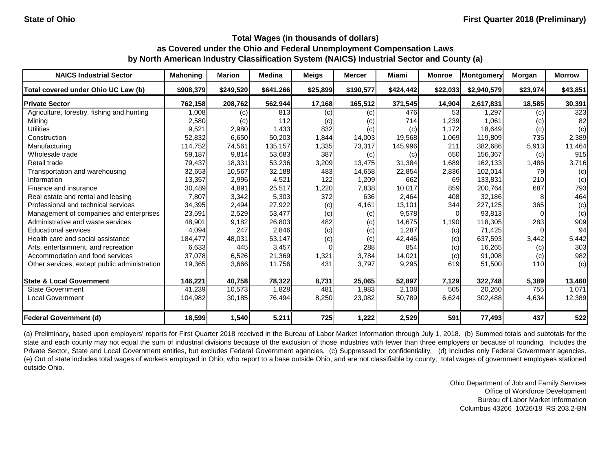| <b>NAICS Industrial Sector</b>               | <b>Mahoning</b> | <b>Marion</b> | <b>Medina</b> | <b>Meigs</b> | <b>Mercer</b> | Miami     | <b>Monroe</b> | Montgomery  | Morgan   | <b>Morrow</b> |
|----------------------------------------------|-----------------|---------------|---------------|--------------|---------------|-----------|---------------|-------------|----------|---------------|
| Total covered under Ohio UC Law (b)          | \$908,379       | \$249,520     | \$641,266     | \$25,899     | \$190,577     | \$424,442 | \$22,033      | \$2,940,579 | \$23,974 | \$43,851      |
| <b>Private Sector</b>                        | 762,158         | 208,762       | 562,944       | 17,168       | 165,512       | 371,545   | 14,904        | 2,617,831   | 18,585   | 30,391        |
| Agriculture, forestry, fishing and hunting   | 1,008           | (c)           | 813           | (c)          | (c)           | 476       | 53            | 1,297       | (c)      | 323           |
| Mining                                       | 2,580           | (c)           | 112           | (c)          | (c)           | 714       | 1,239         | 1,061       | (c)      | 82            |
| <b>Utilities</b>                             | 9,521           | 2,980         | 1,433         | 832          | (c)           | (c)       | 1,172         | 18,649      | (c)      | (c)           |
| Construction                                 | 52,832          | 6,650         | 50,203        | 1,844        | 14,003        | 19,568    | 1,069         | 119,809     | 735      | 2,389         |
| Manufacturing                                | 114,752         | 74,561        | 135,157       | 1,335        | 73,317        | 145,996   | 211           | 382,686     | 5,913    | 11,464        |
| Wholesale trade                              | 59,187          | 9,814         | 53,683        | 387          | (c)           | (c)       | 650           | 156,367     | (c)      | 915           |
| Retail trade                                 | 79,437          | 18,331        | 53,236        | 3,209        | 13,475        | 31,384    | 1,689         | 162,133     | 1,486    | 3,716         |
| Transportation and warehousing               | 32,653          | 10,567        | 32,188        | 483          | 14,658        | 22,854    | 2,836         | 102,014     | 79       | (c)           |
| Information                                  | 13,357          | 2,996         | 4,521         | 122          | 1,209         | 662       | 69            | 133,831     | 210      | (c)           |
| Finance and insurance                        | 30,489          | 4,891         | 25,517        | 1,220        | 7,838         | 10,017    | 859           | 200,764     | 687      | 793           |
| Real estate and rental and leasing           | 7,807           | 3,342         | 5,303         | 372          | 636           | 2,464     | 408           | 32,186      |          | 464           |
| Professional and technical services          | 34,395          | 2,494         | 27,922        | (c)          | 4,161         | 13,101    | 344           | 227,125     | 365      | (c)           |
| Management of companies and enterprises      | 23,591          | 2,529         | 53,477        | (c)          | (c)           | 9,578     | 0             | 93,813      |          | (c)           |
| Administrative and waste services            | 48,901          | 9,182         | 26,803        | 482          | (c)           | 14,675    | 1,190         | 118,305     | 283      | 909           |
| <b>Educational services</b>                  | 4,094           | 247           | 2,846         | (c)          | (c)           | 1,287     | (c)           | 71,425      |          | 94            |
| Health care and social assistance            | 184,477         | 48,031        | 53,147        | (c)          | (c)           | 42,446    | (c)           | 637,593     | 3,442    | 5,442         |
| Arts, entertainment, and recreation          | 6,633           | 445           | 3,457         |              | 288           | 854       | (c)           | 16,265      | (c)      | 303           |
| Accommodation and food services              | 37,078          | 6,526         | 21,369        | 1,321        | 3,784         | 14,021    | (c)           | 91,008      | (c)      | 982           |
| Other services, except public administration | 19,365          | 3,666         | 11,756        | 431          | 3,797         | 9,295     | 619           | 51,500      | 110      | (c)           |
| <b>State &amp; Local Government</b>          | 146,221         | 40,758        | 78,322        | 8,731        | 25,065        | 52,897    | 7,129         | 322,748     | 5,389    | 13,460        |
| <b>State Government</b>                      | 41,239          | 10,573        | 1,828         | 481          | 1,983         | 2,108     | 505           | 20,260      | 755      | 1,071         |
| <b>Local Government</b>                      | 104,982         | 30,185        | 76,494        | 8,250        | 23,082        | 50,789    | 6,624         | 302,488     | 4,634    | 12,389        |
| <b>Federal Government (d)</b>                | 18,599          | 1,540         | 5,211         | 725          | 1,222         | 2,529     | 591           | 77,493      | 437      | 522           |

(a) Preliminary, based upon employers' reports for First Quarter 2018 received in the Bureau of Labor Market Information through July 1, 2018. (b) Summed totals and subtotals for the state and each county may not equal the sum of industrial divisions because of the exclusion of those industries with fewer than three employers or because of rounding. Includes the Private Sector, State and Local Government entities, but excludes Federal Government agencies. (c) Suppressed for confidentiality. (d) Includes only Federal Government agencies. (e) Out of state includes total wages of workers employed in Ohio, who report to a base outside Ohio, and are not classifiable by county; total wages of government employees stationed outside Ohio.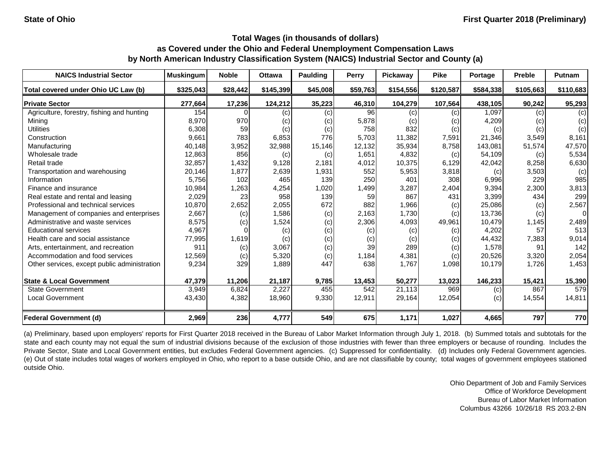| <b>NAICS Industrial Sector</b>               | <b>Muskingum</b> | <b>Noble</b> | <b>Ottawa</b> | Paulding | Perry    | Pickaway                   | <b>Pike</b> | Portage   | <b>Preble</b> | Putnam    |
|----------------------------------------------|------------------|--------------|---------------|----------|----------|----------------------------|-------------|-----------|---------------|-----------|
| Total covered under Ohio UC Law (b)          | \$325,043        | \$28,442     | \$145,399     | \$45,008 | \$59,763 | \$154,556                  | \$120,587   | \$584,338 | \$105,663     | \$110,683 |
| <b>Private Sector</b>                        | 277,664          | 17,236       | 124,212       | 35,223   | 46,310   | 104,279                    | 107,564     | 438,105   | 90,242        | 95,293    |
| Agriculture, forestry, fishing and hunting   | 154              |              | (c)           | (c)      | 96       | (c)                        | (c)         | 1,097     | (c)           | (c)       |
| Mining                                       | 8,970            | 970          | (c)           | (c)      | 5,878    | $\left( \mathrm{c}\right)$ | (c)         | 4,209     | (c)           | (c)       |
| <b>Utilities</b>                             | 6,308            | 59           | (c)           | (c)      | 758      | 832                        | (c)         | (c)       | (c)           | (c)       |
| Construction                                 | 9,661            | 783          | 6,853         | 776      | 5,703    | 11,382                     | 7,591       | 21,346    | 3,549         | 8,161     |
| Manufacturing                                | 40,148           | 3,952        | 32,988        | 15,146   | 12,132   | 35,934                     | 8,758       | 143,081   | 51,574        | 47,570    |
| Wholesale trade                              | 12,863           | 856          | (c)           | (c)      | 1,651    | 4,832                      | (c)         | 54,109    | (c)           | 5,534     |
| Retail trade                                 | 32,857           | 1,432        | 9,128         | 2,181    | 4,012    | 10,375                     | 6,129       | 42,042    | 8,258         | 6,630     |
| Transportation and warehousing               | 20,146           | 1,877        | 2,639         | 1,931    | 552      | 5,953                      | 3,818       | (c)       | 3,503         | (c)       |
| Information                                  | 5,756            | 102          | 465           | 139      | 250      | 401                        | 308         | 6,996     | 229           | 985       |
| Finance and insurance                        | 10,984           | 1,263        | 4,254         | 1,020    | 1,499    | 3,287                      | 2,404       | 9,394     | 2,300         | 3,813     |
| Real estate and rental and leasing           | 2,029            | 23           | 958           | 139      | 59       | 867                        | 431         | 3,399     | 434           | 299       |
| Professional and technical services          | 10,870           | 2,652        | 2,055         | 672      | 882      | 1,966                      | (c)         | 25,086    | (c)           | 2,567     |
| Management of companies and enterprises      | 2,667            | (c)          | 1,586         | (c)      | 2,163    | 1,730                      | (c)         | 13,736    | (c)           | 0         |
| Administrative and waste services            | 8,575            | (c)          | 1,524         | (c)      | 2,306    | 4,093                      | 49,961      | 10,479    | 1,145         | 2,489     |
| <b>Educational services</b>                  | 4,967            |              | (c)           | (c)      | (c)      | (c)                        | (c)         | 4,202     | 57            | 513       |
| Health care and social assistance            | 77,995           | 1,619        | (c)           | (c)      | (c)      | (c)                        | (c)         | 44,432    | 7,383         | 9,014     |
| Arts, entertainment, and recreation          | 911              | (c)          | 3,067         | (c)      | 39       | 289                        | (c)         | 1,578     | 91            | 142       |
| Accommodation and food services              | 12,569           | (c)          | 5,320         | (c)      | 1,184    | 4,381                      | (c)         | 20,526    | 3,320         | 2,054     |
| Other services, except public administration | 9,234            | 329          | 1,889         | 447      | 638      | 1,767                      | 1,098       | 10,179    | 1,726         | 1,453     |
| <b>State &amp; Local Government</b>          | 47,379           | 11,206       | 21,187        | 9,785    | 13,453   | 50,277                     | 13,023      | 146,233   | 15,421        | 15,390    |
| <b>State Government</b>                      | 3,949            | 6,824        | 2,227         | 455      | 542      | 21,113                     | 969         | (c)       | 867           | 579       |
| <b>Local Government</b>                      | 43,430           | 4,382        | 18,960        | 9,330    | 12,911   | 29,164                     | 12,054      | (c)       | 14,554        | 14,811    |
| <b>Federal Government (d)</b>                | 2,969            | 236          | 4,777         | 549      | 675      | 1,171                      | 1,027       | 4,665     | 797           | 770       |

(a) Preliminary, based upon employers' reports for First Quarter 2018 received in the Bureau of Labor Market Information through July 1, 2018. (b) Summed totals and subtotals for the state and each county may not equal the sum of industrial divisions because of the exclusion of those industries with fewer than three employers or because of rounding. Includes the Private Sector, State and Local Government entities, but excludes Federal Government agencies. (c) Suppressed for confidentiality. (d) Includes only Federal Government agencies. (e) Out of state includes total wages of workers employed in Ohio, who report to a base outside Ohio, and are not classifiable by county; total wages of government employees stationed outside Ohio.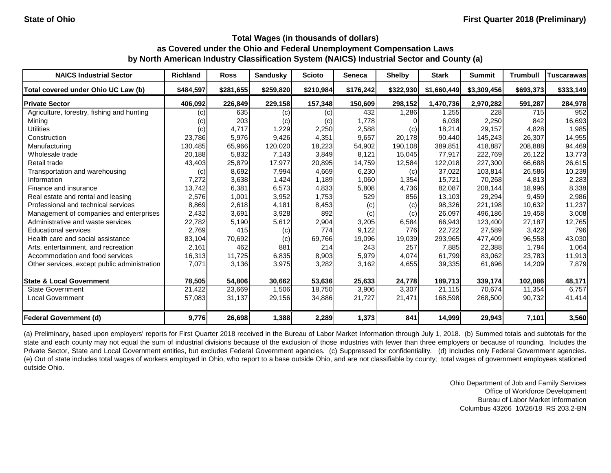| <b>NAICS Industrial Sector</b>               | <b>Richland</b> | <b>Ross</b> | <b>Sandusky</b> | <b>Scioto</b> | <b>Seneca</b> | <b>Shelby</b> | <b>Stark</b> | <b>Summit</b> | <b>Trumbull</b> | Tuscarawas |
|----------------------------------------------|-----------------|-------------|-----------------|---------------|---------------|---------------|--------------|---------------|-----------------|------------|
| Total covered under Ohio UC Law (b)          | \$484,597       | \$281,655   | \$259,820       | \$210,984     | \$176,242     | \$322,930     | \$1,660,449  | \$3,309,456   | \$693,373       | \$333,149  |
| <b>Private Sector</b>                        | 406,092         | 226,849     | 229,158         | 157,348       | 150,609       | 298,152       | 1,470,736    | 2,970,282     | 591,287         | 284,978    |
| Agriculture, forestry, fishing and hunting   | (c)             | 635         | (c)             | (c)           | 432           | 1,286         | 1,255        | 228           | 715             | 952        |
| Mining                                       | (c)             | 203         | (c)             | (c)           | 1,778         |               | 6,038        | 2,250         | 842             | 16,693     |
| <b>Utilities</b>                             | (c)             | 4,717       | 1,229           | 2,250         | 2,588         | (c)           | 18,214       | 29,157        | 4,828           | 1,985      |
| Construction                                 | 23,786          | 5,976       | 9,426           | 4,351         | 9,657         | 20,178        | 90,440       | 145,243       | 26,307          | 14,955     |
| Manufacturing                                | 130,485         | 65,966      | 120,020         | 18,223        | 54,902        | 190,108       | 389,851      | 418,887       | 208,888         | 94,469     |
| Wholesale trade                              | 20,188          | 5,832       | 7,143           | 3,849         | 8,121         | 15,045        | 77,917       | 222,769       | 26,122          | 13,773     |
| Retail trade                                 | 43,403          | 25,879      | 17,977          | 20,895        | 14,759        | 12,584        | 122,018      | 227,300       | 66,688          | 26,615     |
| Transportation and warehousing               | (c)             | 8,692       | 7,994           | 4,669         | 6,230         | (c)           | 37,022       | 103,814       | 26,586          | 10,239     |
| Information                                  | 7,272           | 3,638       | 1,424           | 1,189         | 1,060         | 1,354         | 15,721       | 70,268        | 4,813           | 2,283      |
| Finance and insurance                        | 13,742          | 6,381       | 6,573           | 4,833         | 5,808         | 4,736         | 82,087       | 208,144       | 18,996          | 8,338      |
| Real estate and rental and leasing           | 2,576           | 1,001       | 3,952           | 1,753         | 529           | 856           | 13,103       | 29,294        | 9,459           | 2,986      |
| Professional and technical services          | 8,869           | 2,618       | 4,181           | 8,453         | (c)           | (c)           | 98,326       | 221,198       | 10,632          | 11,237     |
| Management of companies and enterprises      | 2,432           | 3,691       | 3,928           | 892           | (c)           | (c)           | 26,097       | 496,186       | 19,458          | 3,008      |
| Administrative and waste services            | 22,782          | 5,190       | 5,612           | 2,904         | 3,205         | 6,584         | 66,943       | 123,400       | 27,187          | 12,765     |
| <b>Educational services</b>                  | 2,769           | 415         | (c)             | 774           | 9,122         | 776           | 22,722       | 27,589        | 3,422           | 796        |
| Health care and social assistance            | 83,104          | 70,692      | (c)             | 69,766        | 19,096        | 19,039        | 293,965      | 477,409       | 96,558          | 43,030     |
| Arts, entertainment, and recreation          | 2,161           | 462         | 881             | 214           | 243           | 257           | 7,885        | 22,388        | 1,794           | 1,064      |
| Accommodation and food services              | 16,313          | 11,725      | 6,835           | 8,903         | 5,979         | 4,074         | 61,799       | 83,062        | 23,783          | 11,913     |
| Other services, except public administration | 7,071           | 3,136       | 3,975           | 3,282         | 3,162         | 4,655         | 39,335       | 61,696        | 14,209          | 7,879      |
| <b>State &amp; Local Government</b>          | 78,505          | 54,806      | 30,662          | 53,636        | 25,633        | 24,778        | 189,713      | 339,174       | 102,086         | 48,171     |
| <b>State Government</b>                      | 21,422          | 23,669      | 1,506           | 18,750        | 3,906         | 3,307         | 21,115       | 70,674        | 11,354          | 6,757      |
| <b>Local Government</b>                      | 57,083          | 31,137      | 29,156          | 34,886        | 21,727        | 21,471        | 168,598      | 268,500       | 90,732          | 41,414     |
| <b>Federal Government (d)</b>                | 9,776           | 26,698      | 1,388           | 2,289         | 1,373         | 841           | 14,999       | 29,943        | 7,101           | 3,560      |

(a) Preliminary, based upon employers' reports for First Quarter 2018 received in the Bureau of Labor Market Information through July 1, 2018. (b) Summed totals and subtotals for the state and each county may not equal the sum of industrial divisions because of the exclusion of those industries with fewer than three employers or because of rounding. Includes the Private Sector, State and Local Government entities, but excludes Federal Government agencies. (c) Suppressed for confidentiality. (d) Includes only Federal Government agencies. (e) Out of state includes total wages of workers employed in Ohio, who report to a base outside Ohio, and are not classifiable by county; total wages of government employees stationed outside Ohio.